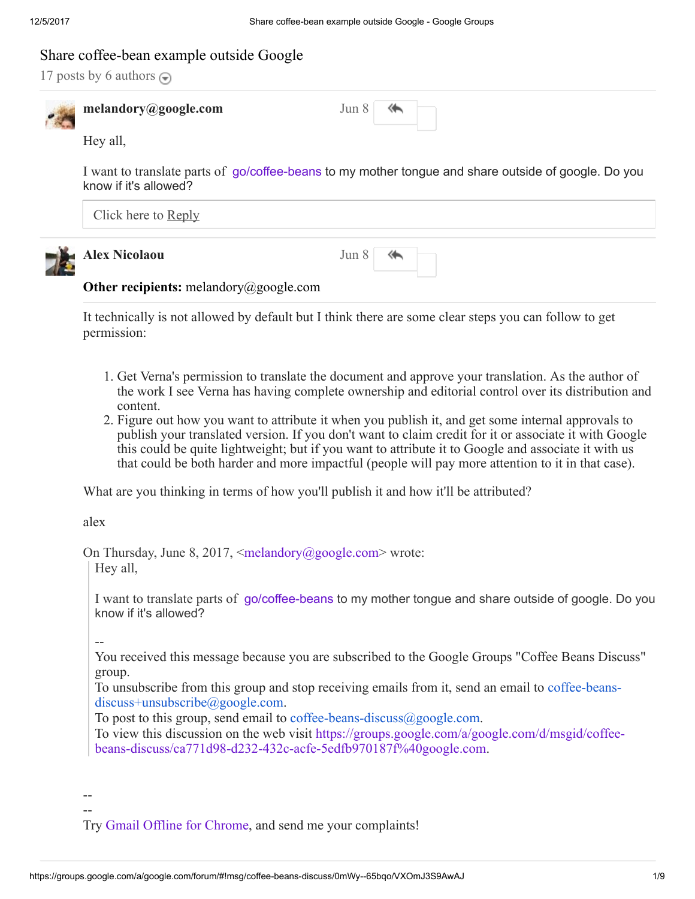# Share coffee-bean example outside Google

17 posts by 6 authors  $\ominus$ 



melandory@google.com Jun

| Ω<br>$\left( \right)$ | $\rightarrow$ |
|-----------------------|---------------|
|                       |               |

Hey all,

I want to translate parts of [go/coffee-beans](https://goto.google.com/coffee-beans) to my mother tongue and share outside of google. Do you know if it's allowed?

| Click here to Reply  |                         |
|----------------------|-------------------------|
| <b>Alex Nicolaou</b> | Jun 8 $\leftrightarrow$ |

# **Other recipients:** melandory@google.com

It technically is not allowed by default but I think there are some clear steps you can follow to get permission:

- 1. Get Verna's permission to translate the document and approve your translation. As the author of the work I see Verna has having complete ownership and editorial control over its distribution and content.
- 2. Figure out how you want to attribute it when you publish it, and get some internal approvals to publish your translated version. If you don't want to claim credit for it or associate it with Google this could be quite lightweight; but if you want to attribute it to Google and associate it with us that could be both harder and more impactful (people will pay more attention to it in that case).

What are you thinking in terms of how you'll publish it and how it'll be attributed?

alex

On Thursday, June 8, 2017,  $\leq$ melandory@google.com> wrote:

Hey all,

I want to translate parts of [go/coffee-beans](https://goto.google.com/coffee-beans) to my mother tongue and share outside of google. Do you know if it's allowed?

--

You received this message because you are subscribed to the Google Groups "Coffee Beans Discuss" group.

To unsubscribe from this group and stop receiving emails from it, send an email to coffee-beansdiscuss+unsubscribe@google.com.

To post to this group, send email to coffee-beans-discuss  $(a)$  google.com.

To view this discussion on the web visit https://groups.google.com/a/google.com/d/msgid/coffee[beans-discuss/ca771d98-d232-432c-acfe-5edfb970187f%40google.com.](https://groups.google.com/a/google.com/d/msgid/coffee-beans-discuss/ca771d98-d232-432c-acfe-5edfb970187f%40google.com?utm_medium=email&utm_source=footer)

-- --

Try [Gmail Offline for Chrome,](http://goto.ext.google.com/fastgmail-chrome) and send me your complaints!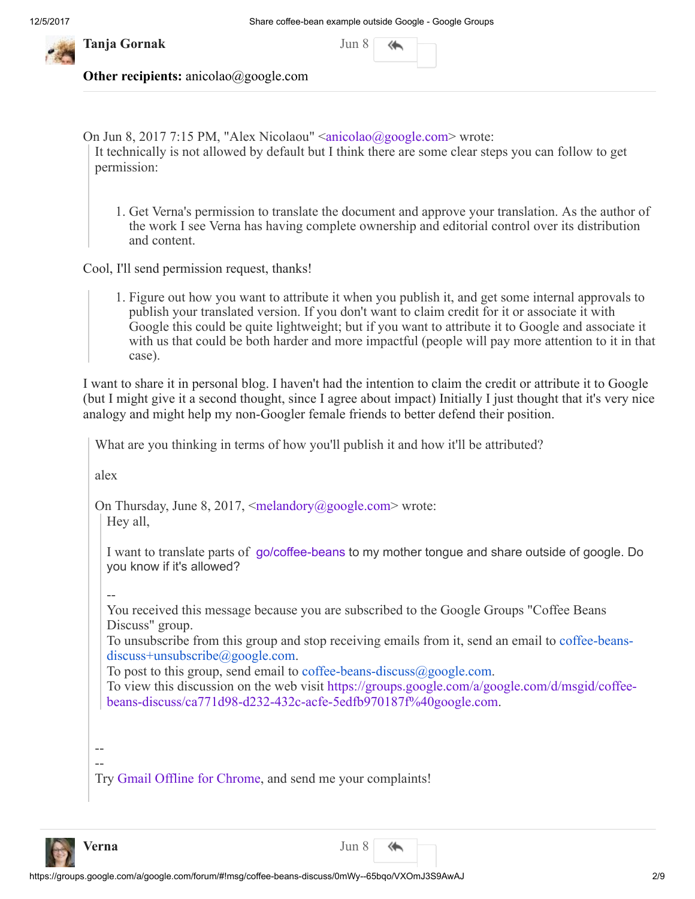

Tanja Gornak Jun 8 Jun 8 Jun 8 Jun 8 Jun 8 Jun 8 Jun 8 Jun 8 Jun 8 Jun 8 Jun 8 Jun 8 Jun 8 Jun 8 Jun 8 Jun 8 Ju

| un |  |  |
|----|--|--|
|----|--|--|

Other recipients: anicolao@google.com

On Jun 8, 2017 7:15 PM, "Alex Nicolaou" [<anicolao@google.com](mailto:anicolao@google.com)> wrote: It technically is not allowed by default but I think there are some clear steps you can follow to get permission:

1. Get Verna's permission to translate the document and approve your translation. As the author of the work I see Verna has having complete ownership and editorial control over its distribution and content.

Cool, I'll send permission request, thanks!

1. Figure out how you want to attribute it when you publish it, and get some internal approvals to publish your translated version. If you don't want to claim credit for it or associate it with Google this could be quite lightweight; but if you want to attribute it to Google and associate it with us that could be both harder and more impactful (people will pay more attention to it in that case).

I want to share it in personal blog. I haven't had the intentionto claim the credit or attribute it to Google (but I might give it a second thought, since I agree about impact) Initially I just thought that it's very nice analogy and might help my non-Googler female friends to better defend their position.

What are you thinking in terms of how you'll publish it and how it'll be attributed?

alex

On Thursday, June 8, 2017,  $\leq$ [melandory@google.com](mailto:melandory@google.com) $>$  wrote: Hey all,

I want to translate parts of [go/coffee-beans](https://goto.google.com/coffee-beans) to my mother tongue and share outside of google. Do you know if it's allowed?

--

You received this message because you are subscribed to the Google Groups "Coffee Beans Discuss" group.

To unsubscribe from this group and stop receiving emails from it, send an email to coffee-beansdiscuss+unsubscribe@google.com.

To post to this group, send email to coffee-beans-discuss@google.com.

To view this discussion on the web visit https://groups.google.com/a/google.com/d/msgid/coffee[beans-discuss/ca771d98-d232-432c-acfe-5edfb970187f%40google.com.](https://groups.google.com/a/google.com/d/msgid/coffee-beans-discuss/ca771d98-d232-432c-acfe-5edfb970187f%40google.com?utm_medium=email&utm_source=footer)

-- --

Try [Gmail Offline for Chrome,](http://goto.ext.google.com/fastgmail-chrome) and send me your complaints!



↞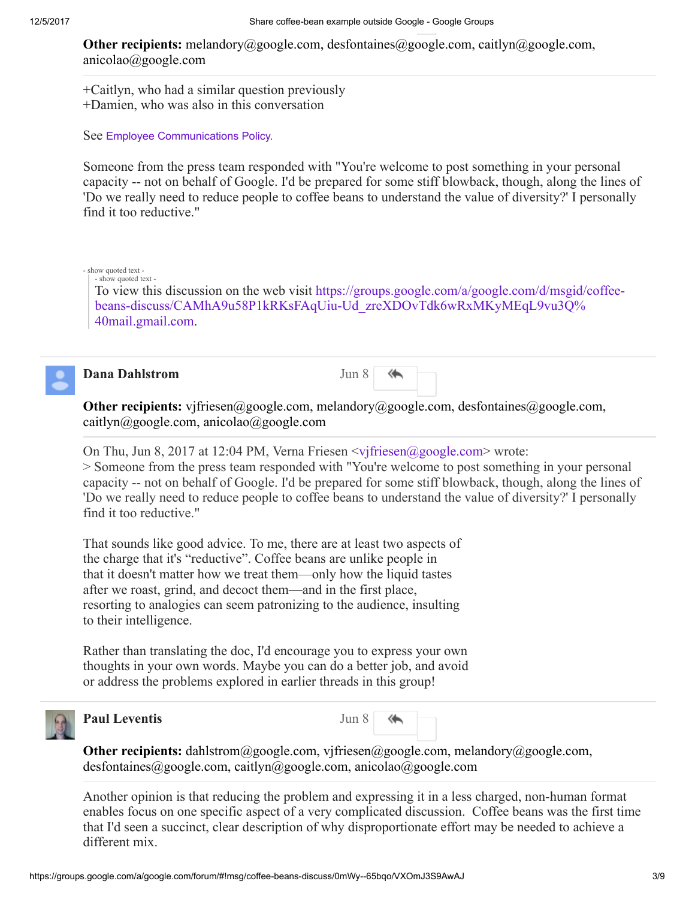**Other recipients:** melandory@google.com, desfontaines@google.com, caitlyn@google.com, anicolao@google.com

+Caitlyn, who had a similar question previously +Damien, who was also in this conversation

See Employee [Communications](https://support.google.com/mygoogle/answer/3260571) Policy.

Someone from the press team responded with "You're welcome to post something in your personal capacity -- not on behalf of Google. I'd be prepared for some stiff blowback, though, along the lines of 'Do we really need to reduce people to coffee beans to understand the value of diversity?' I personally find it too reductive."

#### - show quoted text - - show quoted text -

To view this discussion on the web visit https://groups.google.com/a/google.com/d/msgid/coffee[beans-discuss/CAMhA9u58P1kRKsFAqUiu-Ud\\_zreXDOvTdk6wRxMKyMEqL9vu3Q%](https://groups.google.com/a/google.com/d/msgid/coffee-beans-discuss/CAMhA9u58P1kRKsFAqUiu-Ud_zreXDOvTdk6wRxMKyMEqL9vu3Q%40mail.gmail.com?utm_medium=email&utm_source=footer) 40mail.gmail.com.



# **Dana Dahlstrom** Jun 8

**Other recipients:** vjfriesen@google.com, melandory@google.com, desfontaines@google.com, caitlyn@google.com, anicolao@google.com

On Thu, Jun 8, 2017 at 12:04 PM, Verna Friesen  $\langle \text{vifriesen}(\alpha) \text{google.com} \rangle$  wrote:

> Someone from the press team responded with "You're welcome to post something in your personal capacity -- not on behalf of Google. I'd be prepared for some stiff blowback, though, along the lines of 'Do we really need to reduce people to coffee beans to understand the value of diversity?' I personally find it too reductive."

That sounds like good advice. To me, there are at least two aspects of the charge that it's "reductive". Coffee beans are unlike people in that it doesn't matter how we treat them—only how the liquid tastes after we roast, grind, and decoct them—and in the first place, resorting to analogies can seem patronizing to the audience, insulting to their intelligence.

Rather than translating the doc, I'd encourage you to express your own thoughts in your own words. Maybe you can do a better job, and avoid or address the problems explored in earlier threads in this group!



### **Paul Leventis** Jun 8

↞

**Other recipients:** dahlstrom@google.com, vjfriesen@google.com, melandory@google.com, desfontaines@google.com, caitlyn@google.com, anicolao@google.com

Another opinion is that reducing the problem and expressing it in a less charged, non-human format enables focus on one specific aspect of a very complicated discussion. Coffee beans was the first time that I'd seen a succinct, clear description of why disproportionate effort may be needed to achieve a different mix.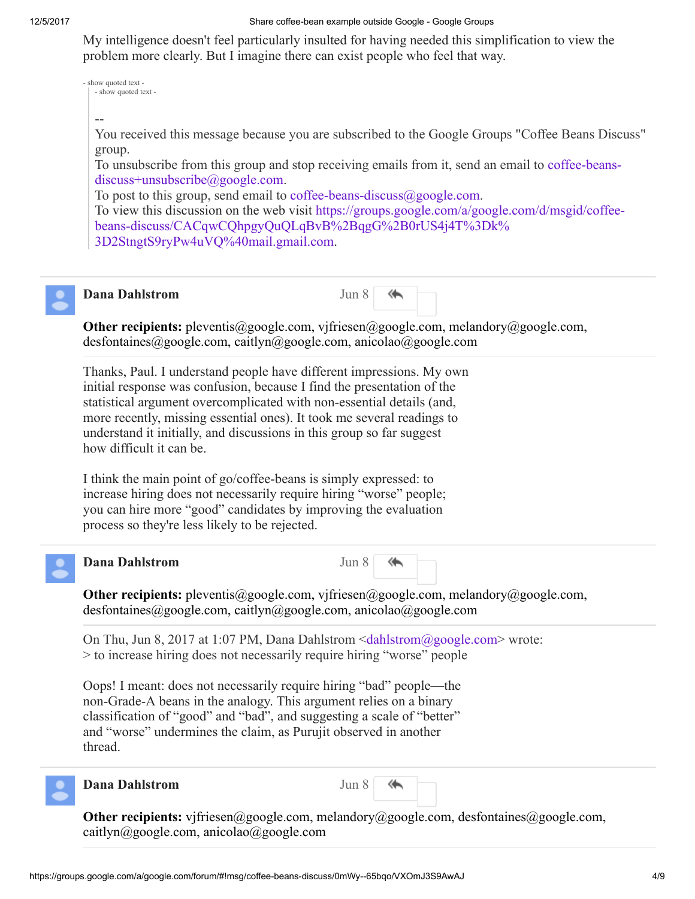#### 12/5/2017 Share coffee-bean example outside Google - Google Groups

My intelligence doesn't feel particularly insulted for having needed this simplification to view the problem more clearly. But I imagine there can exist people who feel that way.

- show quoted text - - show quoted text -

--

You received this message because you are subscribed to the Google Groups "Coffee Beans Discuss" group.

[To unsubscribe from this group and stop receiving emails from it, send an email to](mailto:coffee-beans-discuss%2Bunsubscribe@google.com) coffee-beansdiscuss+unsubscribe@google.com.

To post to this group, send email to coffee-beans-discuss $(\partial_{\xi}$ google.com.

To view this discussion on the web visit https://groups.google.com/a/google.com/d/msgid/coffee[beans-discuss/CACqwCQhpgyQuQLqBvB%2BqgG%2B0rUS4j4T%3Dk%](https://groups.google.com/a/google.com/d/msgid/coffee-beans-discuss/CACqwCQhpgyQuQLqBvB%2BqgG%2B0rUS4j4T%3Dk%3D2StngtS9ryPw4uVQ%40mail.gmail.com) 3D2StngtS9ryPw4uVQ%40mail.gmail.com.



# **Dana Dahlstrom** Jun 8

↞

Other recipients: pleventis@google.com, vjfriesen@google.com, melandory@google.com, desfontaines@google.com, caitlyn@google.com, anicolao@google.com

Thanks, Paul. I understand people have different impressions. My own initial response was confusion, because I find the presentation of the statistical argument overcomplicated with non-essential details (and, more recently, missing essential ones). It took me several readings to understand it initially, and discussions in this group so far suggest how difficult it can be.

I think the main point of go/coffee-beans is simply expressed: to increase hiring does not necessarily require hiring "worse" people; you can hire more "good" candidates by improving the evaluation process so they're less likely to be rejected.



# Dana Dahlstrom Jun 8

⋘

**Other recipients:** pleventis@google.com, vjfriesen@google.com, melandory@google.com, desfontaines@google.com, caitlyn@google.com, anicolao@google.com

On Thu, Jun 8, 2017 at 1:07 PM, Dana Dahlstrom  $\leq$ dahlstrom $\omega$ google.com> wrote: > to increase hiring does not necessarily require hiring "worse" people

Oops! I meant: does not necessarily require hiring "bad" people—the non-Grade-A beans in the analogy. This argument relies on a binary classification of "good" and "bad", and suggesting a scale of "better" and "worse" undermines the claim, as Purujit observed in another thread.



## **Dana Dahlstrom** Jun 8

Other recipients: vjfriesen@google.com, melandory@google.com, desfontaines@google.com, caitlyn@google.com, anicolao@google.com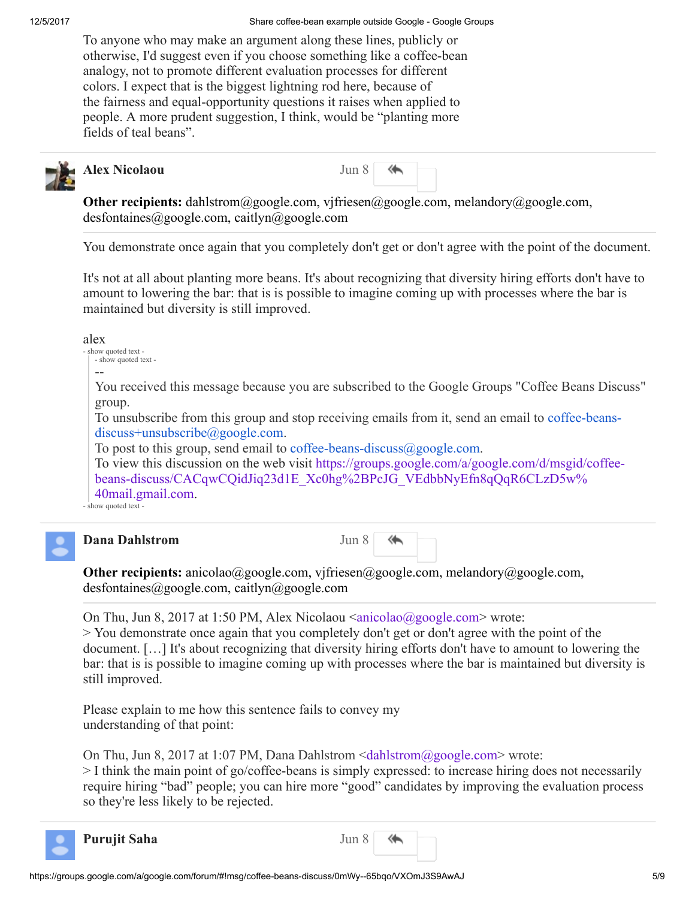To anyone who may make an argument along these lines, publicly or otherwise, I'd suggest even if you choose something like a coffee-bean analogy, not to promote different evaluation processes for different colors. I expect that is the biggest lightning rod here, because of the fairness and equal-opportunity questions it raises when applied to people. A more prudent suggestion, I think, would be "planting more fields of teal beans".



# Alex Nicolaou Jun 8

**Other recipients:** dahlstrom@google.com, vjfriesen@google.com, melandory@google.com, desfontaines@google.com, caitlyn@google.com

You demonstrate once again that you completely don't get or don't agree with the point of the document.

It's not at all about planting more beans. It's about recognizing that diversity hiring efforts don't have to amount to lowering the bar: that is is possible to imagine coming up with processes where the bar is maintained but diversity is still improved.

alex

| - show quoted text - |  |
|----------------------|--|
| - show quoted text - |  |

--

You received this message because you are subscribed to the Google Groups "Coffee Beans Discuss" group.

To unsubscribe from this group and stop receiving emails from it, send an email to coffee-beansdiscuss+unsubscribe@google.com.

To post to this group, send email to coffee-beans-discuss $(\partial g)$  google.com.

To view this discussion on the web visit https://groups.google.com/a/google.com/d/msgid/coffee[beans-discuss/CACqwCQidJiq23d1E\\_Xc0hg%2BPcJG\\_VEdbbNyEfn8qQqR6CLzD5w%](https://groups.google.com/a/google.com/d/msgid/coffee-beans-discuss/CACqwCQidJiq23d1E_Xc0hg%2BPcJG_VEdbbNyEfn8qQqR6CLzD5w%40mail.gmail.com) 40mail.gmail.com.

- show quoted text -



# Dana Dahlstrom Jun 8

⋘

Other recipients: anicolao@google.com, vjfriesen@google.com, melandory@google.com, desfontaines@google.com, caitlyn@google.com

On Thu, Jun 8, 2017 at 1:50 PM, Alex Nicolaou [<anicolao@google.com](mailto:anicolao@google.com)> wrote:

> You demonstrate once again that you completely don't get or don't agree with the point of the document. […] It's about recognizing that diversity hiring efforts don't have to amount to lowering the bar: that is is possible to imagine coming up with processes where the bar is maintained but diversity is still improved.

Please explain to me how this sentence fails to convey my understanding of that point:

On Thu, Jun 8, 2017 at 1:07 PM, Dana Dahlstrom  $\leq$ dahlstrom $\omega$ google.com> wrote:

> I think the main point of go/coffee-beans is simply expressed: to increase hiring does not necessarily require hiring "bad" people; you can hire more "good" candidates by improving the evaluation process so they're less likely to be rejected.



**Purujit Saha** Jun 8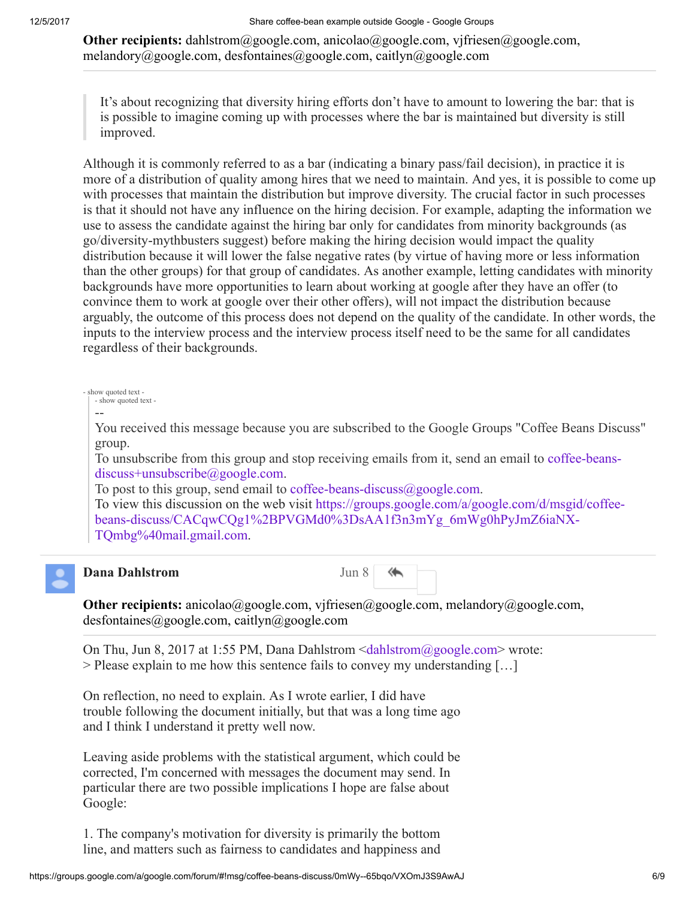**Other recipients:** dahlstrom@google.com, anicolao@google.com, vjfriesen@google.com, melandory@google.com, desfontaines@google.com, caitlyn@google.com

It's about recognizing that diversity hiring efforts don't have to amount to lowering the bar: that is is possible to imagine coming up with processes where the bar is maintained but diversity is still improved.

Although it is commonly referred to as a bar (indicating a binary pass/fail decision), in practice it is more of a distribution of quality among hires that we need to maintain. And yes, it is possible to come up with processes that maintain the distribution but improve diversity. The crucial factor in such processes is that it should not have any influence on the hiring decision. For example, adapting the information we use to assess the candidate against the hiring bar only for candidates from minority backgrounds (as go/diversity-mythbusters suggest) before making the hiring decision would impact the quality distribution because it will lower the false negative rates (by virtue of having more or less information than the other groups) for that group of candidates. As another example, letting candidates with minority backgrounds have more opportunities to learn about working at google after they have an offer (to convince them to work at google over their other offers), will not impact the distribution because arguably, the outcome of this process does not depend on the quality of the candidate. In other words, the inputs to the interview process and the interview process itself need to be the same for all candidates regardless of their backgrounds.

show quoted text - show quoted text -

--

You received this message because you are subscribed to the Google Groups "Coffee Beans Discuss" group.

[To unsubscribe from this group and stop receiving emails from it, send an email to](mailto:coffee-beans-discuss%2Bunsubscribe@google.com) coffee-beansdiscuss+unsubscribe@google.com.

To post to this group, send email to coffee-beans-discuss $(\partial_{\xi}$ google.com.

To view this discussion on the web visit https://groups.google.com/a/google.com/d/msgid/coffee[beans-discuss/CACqwCQg1%2BPVGMd0%3DsAA1f3n3mYg\\_6mWg0hPyJmZ6iaNX-](https://groups.google.com/a/google.com/d/msgid/coffee-beans-discuss/CACqwCQg1%2BPVGMd0%3DsAA1f3n3mYg_6mWg0hPyJmZ6iaNX-TQmbg%40mail.gmail.com)TQmbg%40mail.gmail.com.



### **Dana Dahlstrom** Jun 8

↞

Other recipients: anicolao@google.com, vjfriesen@google.com, melandory@google.com, desfontaines@google.com, caitlyn@google.com

On Thu, Jun 8, 2017 at 1:55 PM, Dana Dahlstrom  $\leq$ dahlstrom $\omega$ google.com> wrote: > Please explain to me how this sentence fails to convey my understanding […]

On reflection, no need to explain. As I wrote earlier, I did have trouble following the document initially, but that was a long time ago and I think I understand it pretty well now.

Leaving aside problems with the statistical argument, which could be corrected, I'm concerned with messages the document may send. In particular there are two possible implications I hope are false about Google:

1. The company's motivation for diversity is primarily the bottom line, and matters such as fairness to candidates and happiness and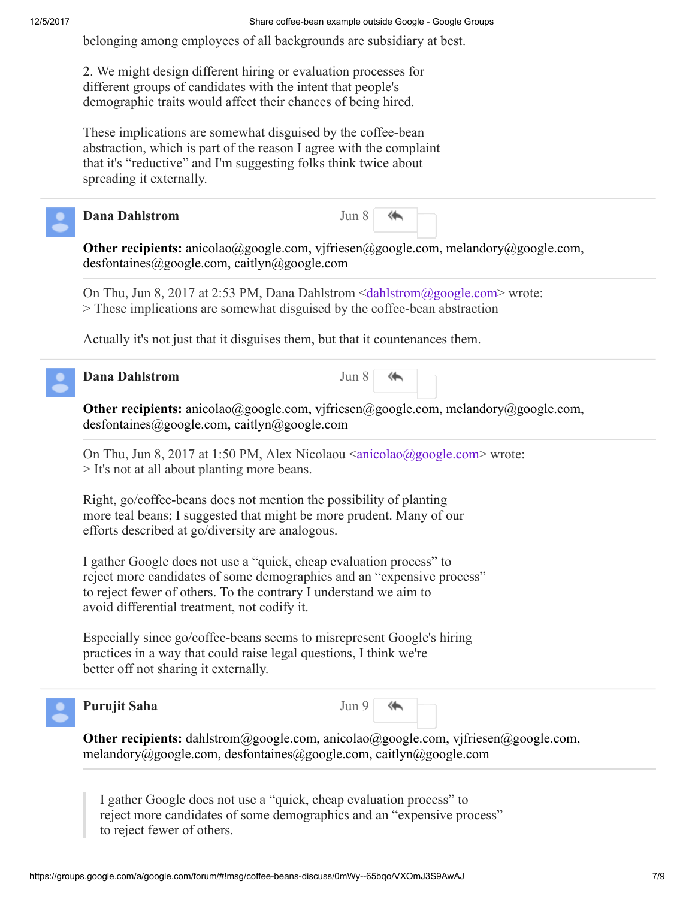belonging among employees of all backgrounds are subsidiary at best.

2. We might design different hiring or evaluation processes for different groups of candidates with the intent that people's demographic traits would affect their chances of being hired.

These implications are somewhat disguised by the coffee-bean abstraction, which is part of the reason I agree with the complaint that it's "reductive" and I'm suggesting folks think twice about spreading it externally.



## Dana Dahlstrom

| Jun 8 |  |
|-------|--|
|       |  |

Other recipients: anicolao@google.com, vjfriesen@google.com, melandory@google.com, desfontaines@google.com, caitlyn@google.com

On Thu, Jun 8, 2017 at 2:53 PM, Dana Dahlstrom <[dahlstrom@google.com](mailto:dahlstrom@google.com)> wrote: > These implications are somewhat disguised by the coffee-bean abstraction

Actually it's not just that it disguises them, but that it countenances them.

# **Dana Dahlstrom** Jun 8 Jun 8 Jun 8 Jun 8 Jun 8 Jun 8 Jun 8 Jun 8 Jun 8 Jun 8 Jun 8 Jun 8 Jun 8 Jun 8 Jun 8 Jun 8 Jun 8 Jun 8 Jun 8 Jun 8 Jun 8 Jun 8 Jun 8 Jun 8 Jun 8 Jun 8 Jun 8 Jun 8 Jun 8 Jun 8 Jun 8 Jun 8 Jun 8 Jun 8 J

Other recipients: anicolao@google.com, vjfriesen@google.com, melandory@google.com, desfontaines@google.com, caitlyn@google.com

On Thu, Jun 8, 2017 at 1:50 PM, Alex Nicolaou [<anicolao@google.com](mailto:anicolao@google.com)> wrote: > It's not at all about planting more beans.

Right, go/coffee-beans does not mention the possibility of planting more teal beans; I suggested that might be more prudent. Many of our efforts described at go/diversity are analogous.

I gather Google does not use a "quick, cheap evaluation process" to reject more candidates of some demographics and an "expensive process" to reject fewer of others. To the contrary I understand we aim to avoid differential treatment, not codify it.

Especially since go/coffee-beans seems to misrepresent Google's hiring practices in a way that could raise legal questions, I think we're better off not sharing it externally.



# Purujit Saha Jun 9



**Other recipients:** dahlstrom@google.com, anicolao@google.com, vjfriesen@google.com, melandory@google.com, desfontaines@google.com, caitlyn@google.com

I gather Google does not use a "quick, cheap evaluation process" to reject more candidates of some demographics and an "expensive process" to reject fewer of others.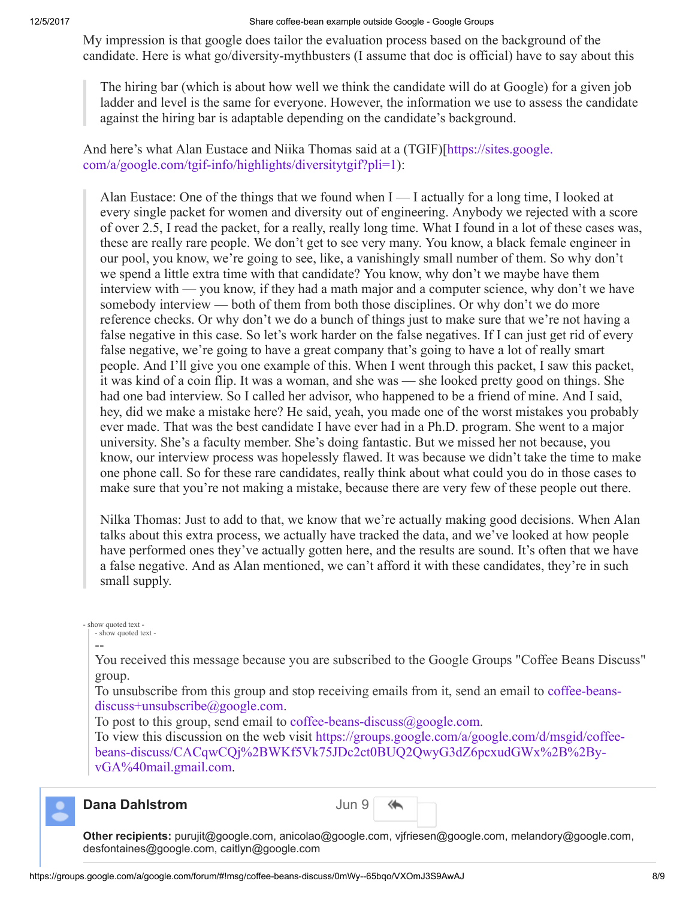#### 12/5/2017 Share coffee-bean example outside Google - Google Groups

My impression is that google does tailor the evaluation process based on the background of the candidate. Here is what go/diversity-mythbusters (I assume that doc is official) have to say about this

The hiring bar (which is about how well we think the candidate will do at Google) for a given job ladder and level is the same for everyone. However, the information we use to assess the candidate against the hiring bar is adaptable depending on the candidate's background.

[And here's what Alan Eustace and Niika Thomas said at a \(TGIF\)\[https://sites.google.](https://sites.google.com/a/google.com/tgif-info/highlights/diversitytgif?pli=1) com/a/google.com/tgif-info/highlights/diversitytgif?pli=1):

Alan Eustace: One of the things that we found when  $I - I$  actually for a long time, I looked at every single packet for women and diversity out of engineering. Anybody we rejected with a score of over 2.5, I read the packet, for a really, really long time. What I found in a lot of these cases was, these are really rare people. We don't get to see very many. You know, a black female engineer in our pool, you know, we're going to see, like, a vanishingly small number of them. So why don't we spend a little extra time with that candidate? You know, why don't we maybe have them interview with — you know, if they had a math major and a computer science, why don't we have somebody interview — both of them from both those disciplines. Or why don't we do more reference checks. Or why don't we do a bunch of things just to make sure that we're not having a false negative in this case. So let's work harder on the false negatives. If I can just get rid of every false negative, we're going to have a great company that's going to have a lot of really smart people. And I'll give you one example of this. When I went through this packet, I saw this packet, it was kind of a coin flip. It was a woman, and she was — she looked pretty good on things. She had one bad interview. So I called her advisor, who happened to be a friend of mine. And I said, hey, did we make a mistake here? He said, yeah, you made one of the worst mistakes you probably ever made. That was the best candidate I have ever had in a Ph.D. program. She went to a major university. She's a faculty member. She's doing fantastic. But we missed her not because, you know, our interview process was hopelessly flawed. It was because we didn't take the time to make one phone call. So for these rare candidates, really think about what could you do in those cases to make sure that you're not making a mistake, because there are very few of these people out there.

Nilka Thomas: Just to add to that, we know that we're actually making good decisions. When Alan talks about this extra process, we actually have tracked the data, and we've looked at how people have performed ones they've actually gotten here, and the results are sound. It's often that we have a false negative. And as Alan mentioned, we can't afford it with these candidates, they're in such small supply.

#### - show quoted text - - show quoted text -

# --

You received this message because you are subscribed to the Google Groups "Coffee Beans Discuss" group.

[To unsubscribe from this group and stop receiving emails from it, send an email to](mailto:coffee-beans-discuss%2Bunsubscribe@google.com) coffee-beansdiscuss+unsubscribe@google.com.

To post to this group, send email to [coffee-beans-discuss@google.com.](mailto:coffee-beans-discuss@google.com)

To view this discussion on the web visit https://groups.google.com/a/google.com/d/msgid/coffee[beans-discuss/CACqwCQj%2BWKf5Vk75JDc2ct0BUQ2QwyG3dZ6pcxudGWx%2B%2By](https://groups.google.com/a/google.com/d/msgid/coffee-beans-discuss/CACqwCQj%2BWKf5Vk75JDc2ct0BUQ2QwyG3dZ6pcxudGWx%2B%2By-vGA%40mail.gmail.com)vGA%40mail.gmail.com.



#### Dana Dahlstrom Jun 90

| ın |  |
|----|--|
|----|--|

Other recipients: purujit@google.com, anicolao@google.com, vjfriesen@google.com, melandory@google.com, desfontaines@google.com, caitlyn@google.com